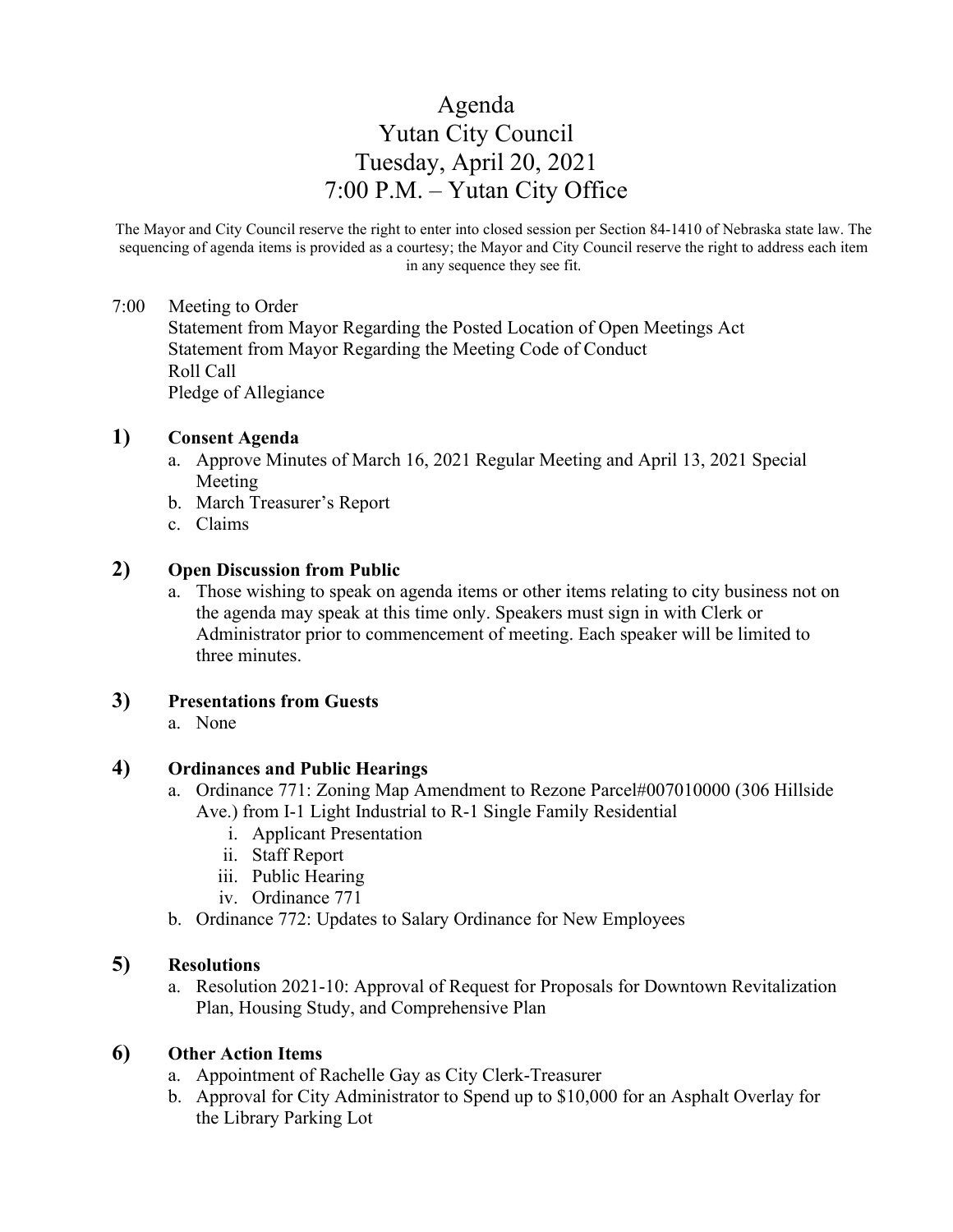# Agenda Yutan City Council Tuesday, April 20, 2021 7:00 P.M. – Yutan City Office

The Mayor and City Council reserve the right to enter into closed session per Section 84-1410 of Nebraska state law. The sequencing of agenda items is provided as a courtesy; the Mayor and City Council reserve the right to address each item in any sequence they see fit.

# 7:00 Meeting to Order

Statement from Mayor Regarding the Posted Location of Open Meetings Act Statement from Mayor Regarding the Meeting Code of Conduct Roll Call Pledge of Allegiance

#### **1) Consent Agenda**

- a. Approve Minutes of March 16, 2021 Regular Meeting and April 13, 2021 Special Meeting
- b. March Treasurer's Report
- c. Claims

#### **2) Open Discussion from Public**

a. Those wishing to speak on agenda items or other items relating to city business not on the agenda may speak at this time only. Speakers must sign in with Clerk or Administrator prior to commencement of meeting. Each speaker will be limited to three minutes.

# **3) Presentations from Guests**

a. None

# **4) Ordinances and Public Hearings**

- a. Ordinance 771: Zoning Map Amendment to Rezone Parcel#007010000 (306 Hillside Ave.) from I-1 Light Industrial to R-1 Single Family Residential
	- i. Applicant Presentation
	- ii. Staff Report
	- iii. Public Hearing
	- iv. Ordinance 771
- b. Ordinance 772: Updates to Salary Ordinance for New Employees

#### **5) Resolutions**

a. Resolution 2021-10: Approval of Request for Proposals for Downtown Revitalization Plan, Housing Study, and Comprehensive Plan

# **6) Other Action Items**

- a. Appointment of Rachelle Gay as City Clerk-Treasurer
- b. Approval for City Administrator to Spend up to \$10,000 for an Asphalt Overlay for the Library Parking Lot